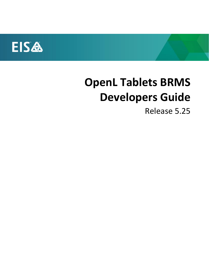

# **OpenL Tablets BRMS Developers Guide**

Release 5.25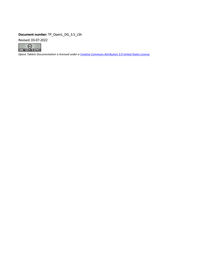#### **Document number:** TP\_OpenL\_DG\_3.5\_LSh

Revised: 03-07-2022



*OpenL Tablets Documentation is licensed under a [Creative Commons Attribution 3.0 United States License.](http://creativecommons.org/licenses/by/3.0/us/)*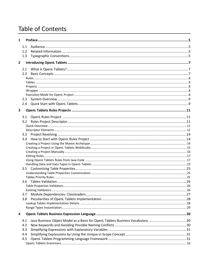## **Table of Contents**

| $\mathbf{1}$            |                  |                                                                               |  |
|-------------------------|------------------|-------------------------------------------------------------------------------|--|
|                         | 1.1              |                                                                               |  |
|                         | 1.2 <sub>2</sub> |                                                                               |  |
|                         | 1.3              |                                                                               |  |
| $\overline{\mathbf{2}}$ |                  |                                                                               |  |
|                         |                  |                                                                               |  |
|                         |                  |                                                                               |  |
|                         | $2.2^{\circ}$    |                                                                               |  |
|                         |                  |                                                                               |  |
|                         |                  |                                                                               |  |
|                         |                  |                                                                               |  |
|                         |                  |                                                                               |  |
|                         | 2.3              |                                                                               |  |
|                         |                  |                                                                               |  |
| 3                       |                  |                                                                               |  |
|                         |                  |                                                                               |  |
|                         | 3.1              |                                                                               |  |
|                         | 3.2              |                                                                               |  |
|                         |                  |                                                                               |  |
|                         |                  |                                                                               |  |
|                         |                  |                                                                               |  |
|                         |                  |                                                                               |  |
|                         |                  |                                                                               |  |
|                         |                  |                                                                               |  |
|                         |                  |                                                                               |  |
|                         |                  |                                                                               |  |
|                         |                  |                                                                               |  |
|                         |                  |                                                                               |  |
|                         |                  |                                                                               |  |
|                         |                  |                                                                               |  |
|                         |                  |                                                                               |  |
|                         |                  |                                                                               |  |
|                         |                  |                                                                               |  |
|                         | 3.7              |                                                                               |  |
|                         | 3.8              |                                                                               |  |
|                         |                  |                                                                               |  |
|                         |                  |                                                                               |  |
| 4                       |                  |                                                                               |  |
|                         | 4.1              | Java Business Object Model as a Basis for OpenL Tablets Business Vocabulary30 |  |
|                         | 4.2              |                                                                               |  |
|                         | 4.3              |                                                                               |  |
|                         | 4.4              |                                                                               |  |
|                         | 4.5              |                                                                               |  |
|                         |                  |                                                                               |  |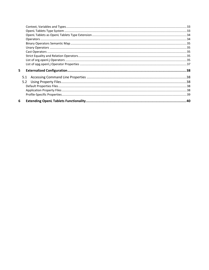| 5   |  |
|-----|--|
| 5.1 |  |
| 5.2 |  |
|     |  |
|     |  |
|     |  |
| 6.  |  |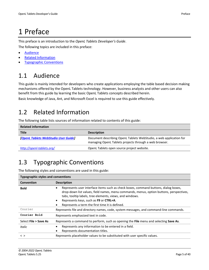## <span id="page-4-0"></span>1 Preface

This preface is an introduction to the *OpenL Tablets Developer's Guide*.

The following topics are included in this preface:

- [Audience](#page-4-1)
- **[Related Information](#page-4-2)**
- <span id="page-4-1"></span>• [Typographic Conventions](#page-4-3)

## 1.1 Audience

This guide is mainly intended for developers who create applications employing the table based decision making mechanisms offered by the OpenL Tablets technology. However, business analysts and other users can also benefit from this guide by learning the basic OpenL Tablets concepts described herein.

<span id="page-4-2"></span>Basic knowledge of Java, Ant, and Microsoft Excel is required to use this guide effectively.

## 1.2 Related Information

The following table lists sources of information related to contents of this guide:

| <b>Related information</b>                  |                                                                                                                              |  |  |
|---------------------------------------------|------------------------------------------------------------------------------------------------------------------------------|--|--|
| <b>Title</b>                                | <b>Description</b>                                                                                                           |  |  |
| <b>[OpenL Tablets WebStudio User Guide]</b> | Document describing OpenL Tablets WebStudio, a web application for<br>managing OpenL Tablets projects through a web browser. |  |  |
| http://openl-tablets.org/                   | OpenL Tablets open source project website.                                                                                   |  |  |

## <span id="page-4-3"></span>1.3 Typographic Conventions

The following styles and conventions are used in this guide:

| <b>Typographic styles and conventions</b>                                                                                                                                                                                                                                                                                                                           |                                                                                          |  |
|---------------------------------------------------------------------------------------------------------------------------------------------------------------------------------------------------------------------------------------------------------------------------------------------------------------------------------------------------------------------|------------------------------------------------------------------------------------------|--|
| <b>Convention</b>                                                                                                                                                                                                                                                                                                                                                   | <b>Description</b>                                                                       |  |
| Represents user interface items such as check boxes, command buttons, dialog boxes,<br>$\bullet$<br><b>Bold</b><br>drop-down list values, field names, menu commands, menus, option buttons, perspectives,<br>tabs, tooltip labels, tree elements, views, and windows.<br>Represents keys, such as F9 or CTRL+A.<br>Represents a term the first time it is defined. |                                                                                          |  |
| Courier<br>Represents file and directory names, code, system messages, and command-line commands.                                                                                                                                                                                                                                                                   |                                                                                          |  |
| Courier Bold                                                                                                                                                                                                                                                                                                                                                        | Represents emphasized text in code.                                                      |  |
| Select File > Save As                                                                                                                                                                                                                                                                                                                                               | Represents a command to perform, such as opening the File menu and selecting Save As.    |  |
| <b>Italic</b>                                                                                                                                                                                                                                                                                                                                                       | Represents any information to be entered in a field.<br>Represents documentation titles. |  |
| Represents placeholder values to be substituted with user specific values.<br>$\langle$ $\rangle$                                                                                                                                                                                                                                                                   |                                                                                          |  |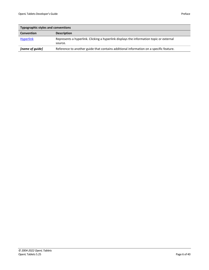| <b>Typographic styles and conventions</b> |                                                                                                    |  |  |
|-------------------------------------------|----------------------------------------------------------------------------------------------------|--|--|
| <b>Convention</b>                         | <b>Description</b>                                                                                 |  |  |
| <b>Hyperlink</b>                          | Represents a hyperlink. Clicking a hyperlink displays the information topic or external<br>source. |  |  |
| [name of guide]                           | Reference to another guide that contains additional information on a specific feature.             |  |  |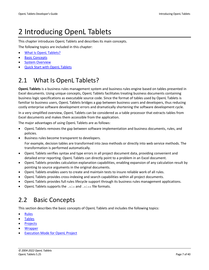## <span id="page-6-0"></span>2 Introducing OpenL Tablets

This chapter introduces OpenL Tablets and describes its main concepts.

The following topics are included in this chapter:

- [What Is OpenL Tablets?](#page-6-1)
- [Basic Concepts](#page-6-2)
- **[System Overview](#page-8-0)**
- <span id="page-6-1"></span>• [Quick Start with OpenL Tablets](#page-8-1)

## 2.1 What Is OpenL Tablets?

**OpenL Tablets** is a business rules management system and business rules engine based on tables presented in Excel documents. Using unique concepts, OpenL Tablets facilitates treating business documents containing business logic specifications as executable source code. Since the format of tables used by OpenL Tablets is familiar to business users, OpenL Tablets bridges a gap between business users and developers, thus reducing costly enterprise software development errors and dramatically shortening the software development cycle.

In a very simplified overview, OpenL Tablets can be considered as a table processor that extracts tables from Excel documents and makes them accessible from the application.

The major advantages of using OpenL Tablets are as follows:

- OpenL Tablets removes the gap between software implementation and business documents, rules, and policies.
- Business rules become transparent to developers. For example, decision tables are transformed into Java methods or directly into web service methods. The transformation is performed automatically.
- OpenL Tablets verifies syntax and type errors in all project document data, providing convenient and detailed error reporting. OpenL Tablets can directly point to a problem in an Excel document.
- OpenL Tablets provides calculation explanation capabilities, enabling expansion of any calculation result by pointing to source arguments in the original documents.
- OpenL Tablets enables users to create and maintain tests to insure reliable work of all rules.
- OpenL Tablets provides cross-indexing and search capabilities within all project documents.
- OpenL Tablets provides full rules lifecycle support through its business rules management applications.
- <span id="page-6-2"></span>• OpenL Tablets supports the .xls and .xlsx file formats.

## 2.2 Basic Concepts

This section describes the basic concepts of OpenL Tablets and includes the following topics:

- [Rules](#page-7-0)
- [Tables](#page-7-1)
- **[Projects](#page-7-2)**
- **[Wrapper](#page-7-3)**
- **[Execution Mode](#page-7-4) for OpenL Project**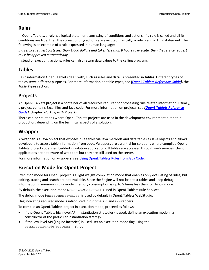### <span id="page-7-0"></span>**Rules**

In OpenL Tablets, a **rule** is a logical statement consisting of conditions and actions. If a rule is called and all its conditions are true, then the corresponding actions are executed. Basically, a rule is an IF-THEN statement. The following is an example of a rule expressed in human language:

*If a service request costs less than 1,000 dollars and takes less than 8 hours to execute, then the service request must be approved automatically*.

Instead of executing actions, rules can also return data values to the calling program.

### <span id="page-7-1"></span>**Tables**

Basic information OpenL Tablets deals with, such as rules and data, is presented in **tables**. Different types of tables serve different purposes. For more information on table types, see *[\[OpenL Tablets Reference Guide\]](http://openl-tablets.sourceforge.net/docs/openl-tablets/latest/OpenL%20Tablets%20-%20Reference%20Guide.pdf),* the *Table Types* section.

### <span id="page-7-2"></span>**Projects**

An OpenL Tablets **project** is a container of all resources required for processing rule related information. Usually, a project contains Excel files and Java code. For more information on projects, see *[\[OpenL Tablets Reference](http://openl-tablets.sourceforge.net/docs/openl-tablets/latest/OpenL%20Tablets%20-%20Reference%20Guide.pdf)  [Guide\]](http://openl-tablets.sourceforge.net/docs/openl-tablets/latest/OpenL%20Tablets%20-%20Reference%20Guide.pdf),* chapter *Working with Projects*.

There can be situations where OpenL Tablets projects are used in the development environment but not in production, depending on the technical aspects of a solution.

### <span id="page-7-3"></span>**Wrapper**

A **wrapper** is a Java object that exposes rule tables via Java methods and data tables as Java objects and allows developers to access table information from code. Wrappers are essential for solutions where compiled OpenL Tablets project code is embedded in solution applications. If tables are accessed through web services, client applications are not aware of wrappers but they are still used on the server.

For more information on wrappers, see [Using OpenL Tablets Rules from Java Code.](#page-16-1)

### <span id="page-7-4"></span>**Execution Mode for OpenL Project**

Execution mode for OpenL project is a light weight compilation mode that enables only evaluating of rules; but editing, tracing and search are not available. Since the Engine will not load test tables and keep debug information in memory in this mode, memory consumption is up to 5 times less than for debug mode.

By default, the execution mode (exectionMode=true) is used in OpenL Tablets Rule Services.

The debug mode (exectionMode=false) is used by default in OpenL Tablets WebStudio.

Flag indicating required mode is introduced in runtime API and in wrappers.

To compile an OpenL Tablets project in execution mode, proceed as follows:

- If the OpenL Tablets high level API (instantiation strategies) is used, define an execution mode in a constructor of the particular instantiation strategy.
- If the low level API (Engine factories) is used, set an execution mode flag using the setExecutionMode(boolean) method.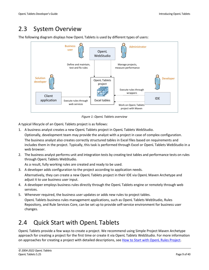## <span id="page-8-0"></span>2.3 System Overview

The following diagram displays how OpenL Tablets is used by different types of users:



*Figure 1: OpenL Tablets overview*

A typical lifecycle of an OpenL Tablets project is as follows:

1. A business analyst creates a new OpenL Tablets project in OpenL Tablets WebStudio.

Optionally, development team may provide the analyst with a project in case of complex configuration. The business analyst also creates correctly structured tables in Excel files based on requirements and includes them in the project. Typically, this task is performed through Excel or OpenL Tablets WebStudio in a web browser.

2. The business analyst performs unit and integration tests by creating test tables and performance tests on rules through OpenL Tablets WebStudio.

As a result, fully working rules are created and ready to be used.

- 3. A developer adds configuration to the project according to application needs. Alternatively, they can create a new OpenL Tablets project in their IDE via OpenL Maven Archetype and adjust it to use business user input.
- 4. A developer employs business rules directly through the OpenL Tablets engine or remotely through web services.
- 5. Whenever required, the business user updates or adds new rules to project tables. OpenL Tablets business rules management applications, such as OpenL Tablets WebStudio, Rules Repository, and Rule Services Core, can be set up to provide self-service environment for business user changes.

## <span id="page-8-1"></span>2.4 Quick Start with OpenL Tablets

OpenL Tablets provide a few ways to create a project. We recommend using Simple Project Maven Archetype approach for creating a project for the first time or create it via OpenL Tablets WebStudio. For more information on approaches for creating a project with detailed descriptions, see [How to Start with OpenL Rules Project.](#page-13-1)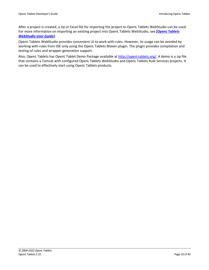After a project is created, a zip or Excel file for importing the project to OpenL Tablets WebStudio can be used. For more information on importing an existing project into OpenL Tablets WebStudio, see *[\[OpenL Tablets](http://openl-tablets.sourceforge.net/docs/openl-tablets/latest/OpenL%20Tablets%20-%20WebStudio%20User%20Guide.pdf)  [WebStudio User Guide\]](http://openl-tablets.sourceforge.net/docs/openl-tablets/latest/OpenL%20Tablets%20-%20WebStudio%20User%20Guide.pdf).*

OpenL Tablets WebStudio provides convenient UI to work with rules. However, its usage can be avoided by working with rules from IDE only using the OpenL Tablets Maven plugin. The plugin provides compilation and testing of rules and wrapper generation support.

Also, OpenL Tablets has OpenL Tablet Demo Package available at [http://openl-tablets.org/.](http://openl-tablets.org/) A demo is a zip file that contains a Tomcat with configured OpenL Tablets WebStudio and OpenL Tablets Rule Services projects. It can be used to effectively start using OpenL Tablets products.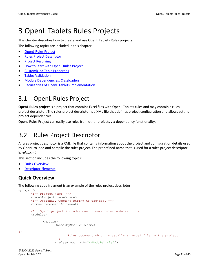## <span id="page-10-0"></span>3 OpenL Tablets Rules Projects

This chapter describes how to create and use OpenL Tablets Rules projects.

The following topics are included in this chapter:

- [OpenL Rules Project](#page-10-1)
- [Rules Project Descriptor](#page-10-2)
- [Project Resolving](#page-13-0)
- [How to Start with OpenL Rules Project](#page-13-1)
- [Customizing Table Properties](#page-24-0)
- [Tables Validation](#page-25-0)
- [Module Dependencies: Classloaders](#page-26-0)
- <span id="page-10-1"></span>• [Peculiarities of OpenL Tablets Implementation](#page-27-0)

## 3.1 OpenL Rules Project

**OpenL Rules project** is a project that contains Excel files with OpenL Tablets rules and may contain a rules project descriptor. The rules project descriptor is a XML file that defines project configuration and allows setting project dependencies.

<span id="page-10-2"></span>OpenL Rules Project can easily use rules from other projects via dependency functionality.

## 3.2 Rules Project Descriptor

A rules project descriptor is a XML file that contains information about the project and configuration details used by OpenL to load and compile the rules project. The predefined name that is used for a rules project descriptor is *rules.xml.*

This section includes the following topics:

- **[Quick Overview](#page-10-3)**
- [Descriptor Elements](#page-11-0)

### <span id="page-10-3"></span>**Quick Overview**

The following code fragment is an example of the rules project descriptor:

```
<project>
      <!-- Project name. -->
      <name>Project name</name>
      <!-- Optional. Comment string to project. -->
      <comment>comment</comment>
      <!-- OpenL project includes one or more rules modules. -->
      <modules>
             <module>
                    <name>MyModule1</name>
<! --Rules document which is usually an excel file in the project. 
                    --<rules-root path="MyModule1.xls"/>
```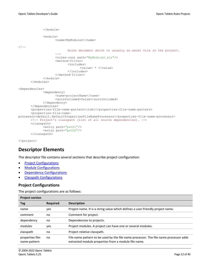```
</module>
             <module>
                    <name>MyModule2</name>
<! -Rules document which is usually an excel file in the project.
                    -->
                    <rules-root path="MyModule2.xls"/>
                    <method-filter>
                           <includes>
                                 <value> * </value>
                           </includes>
                    </method-filter>
             </module>
      </modules>
<dependencies>
             <dependency>
                    <name>projectName</name>
                    <autoIncluded>false</autoIncluded>
             </dependency>
      </dependencies>
      <properties-file-name-pattern>{lob}</properties-file-name-pattern>
      <properties-file-name-
processor>default.DefaultPropertiesFileNameProcessor</properties-file-name-processor>
      <!-- Project's classpath (list of all source dependencies). -->
      <classpath>
             <entry path="path1"/>
             <entry path="path2"/>
      </classpath>
```
<span id="page-11-0"></span></project>

### **Descriptor Elements**

The descriptor file contains several sections that describe project configuration:

- [Project Configurations](#page-11-1)
- [Module Configurations](#page-12-0)
- [Dependency Configurations](#page-12-1)
- Classpath [Configurations](#page-12-2)

#### <span id="page-11-1"></span>**Project Configurations**

The project configurations are as follows:

| <b>Project section</b>                                                                         |     |                                                                                       |  |  |
|------------------------------------------------------------------------------------------------|-----|---------------------------------------------------------------------------------------|--|--|
| <b>Required</b><br><b>Description</b><br>Tag                                                   |     |                                                                                       |  |  |
| name                                                                                           | yes | Project name. It is a string value which defines a user-friendly project name.        |  |  |
| Comment for project.<br>comment<br>no                                                          |     |                                                                                       |  |  |
| dependency<br>Dependencies to projects.<br>no                                                  |     |                                                                                       |  |  |
| modules<br>Project modules. A project can have one or several modules.<br>yes                  |     |                                                                                       |  |  |
| Project relative classpath.<br>classpath<br>no                                                 |     |                                                                                       |  |  |
| properties-file-<br>no<br>extracted module properties from a module file name.<br>name-pattern |     | File name pattern to be used by the file name processor. The file name processor adds |  |  |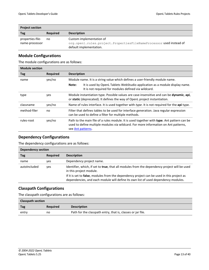| <b>Project section</b> |                 |                                                                                                |  |  |
|------------------------|-----------------|------------------------------------------------------------------------------------------------|--|--|
| Tag                    | <b>Required</b> | <b>Description</b>                                                                             |  |  |
| properties-file-       | no              | Custom implementation of                                                                       |  |  |
| name-processor         |                 | org.openl.rules.project.PropertiesFileNameProcessor used instead of<br>default implementation. |  |  |

#### <span id="page-12-0"></span>**Module Configurations**

The module configurations are as follows:

| <b>Module section</b> |                 |                                                                                                                                                                                                        |  |  |
|-----------------------|-----------------|--------------------------------------------------------------------------------------------------------------------------------------------------------------------------------------------------------|--|--|
| Tag                   | <b>Required</b> | <b>Description</b>                                                                                                                                                                                     |  |  |
| name                  | yes/no          | Module name. It is a string value which defines a user-friendly module name.                                                                                                                           |  |  |
|                       |                 | It is used by OpenL Tablets WebStudio application as a module display name.<br>Note:<br>It is not required for modules defined via wildcard.                                                           |  |  |
| type                  | yes             | Module instantiation type. Possible values are case-insensitive and can be dynamic, api,<br>or static (deprecated). It defines the way of OpenL project instantiation.                                 |  |  |
| classname             | yes/no          | Name of rules interface. It is used together with type. It is not required for the api type.                                                                                                           |  |  |
| method-filer          | no              | Filter that defines tables to be used for interface generation. Java regular expression<br>can be used to define a filter for multiple methods.                                                        |  |  |
| rules-root            | yes/no          | Path to the main file of a rules module. It is used together with type. Ant pattern can be<br>used to define multiple modules via wildcard. For more information on Ant patterns,<br>see Ant patterns. |  |  |

#### <span id="page-12-1"></span>**Dependency Configurations**

The dependency configurations are as follows:

| Dependency section |                 |                                                                                                                                                                                 |  |  |
|--------------------|-----------------|---------------------------------------------------------------------------------------------------------------------------------------------------------------------------------|--|--|
| Tag                | <b>Required</b> | <b>Description</b>                                                                                                                                                              |  |  |
| name               | yes             | Dependency project name.                                                                                                                                                        |  |  |
| autoIncluded       | yes             | Identifier, which, if set to true, that all modules from the dependency project will be used<br>in this project module.                                                         |  |  |
|                    |                 | If it is set to false, modules from the dependency project can be used in this project as<br>dependencies, and each module will define its own list of used dependency modules. |  |  |

#### <span id="page-12-2"></span>**Classpath Configurations**

The classpath configurations are as follows:

| <b>Classpath section</b> |                 |                                                             |  |  |
|--------------------------|-----------------|-------------------------------------------------------------|--|--|
| Tag                      | <b>Required</b> | <b>Description</b>                                          |  |  |
| entry                    | no              | Path for the classpath entry, that is, classes or jar file. |  |  |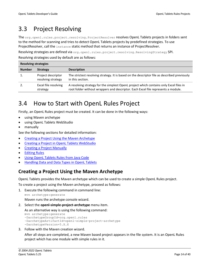## <span id="page-13-0"></span>3.3 Project Resolving

The org.openl.rules.project.resolving.ProjectResolver resolves OpenL Tablets projects in folders sent to the method for scanning and tries to detect OpenL Tablets projects by predefined strategies. To use ProjectResolver, call the instance static method that returns an instance of ProjectResolver.

Resolving strategies are defined via org.openl.rules.project.resolving.ResolvingStrategy SPI. Resolving strategies used by default are as follows:

| <b>Resolving strategies</b> |                                          |                                                                                                                                                                             |  |
|-----------------------------|------------------------------------------|-----------------------------------------------------------------------------------------------------------------------------------------------------------------------------|--|
| <b>Number</b>               | <b>Strategy</b>                          | <b>Description</b>                                                                                                                                                          |  |
|                             | Project descriptor<br>resolving strategy | The strictest resolving strategy. It is based on the descriptor file as described previously<br>in this section.                                                            |  |
|                             | Excel file resolving<br>strategy         | A resolving strategy for the simplest OpenL project which contains only Excel files in<br>root folder without wrappers and descriptor. Each Excel file represents a module. |  |

## <span id="page-13-1"></span>3.4 How to Start with OpenL Rules Project

Firstly, an OpenL Rules project must be created. It can be done in the following ways:

- using Maven archetype
- using OpenL Tablets WebStudio
- manually

See the following sections for detailed information:

- Creating a [Project Using the Maven Archetype](#page-13-2)
- [Creating a Project in OpenL Tablets WebStudio](#page-14-0)
- **[Creating a Project Manually](#page-15-0)**
- [Editing Rules](#page-16-0)
- **Using OpenL [Tablets Rules from Java Code](#page-16-1)**
- **[Handling Data and Data Types in OpenL](#page-22-0) Tablets**

### <span id="page-13-2"></span>**Creating a Project Using the Maven Archetype**

OpenL Tablets provides the Maven archetype which can be used to create a simple OpenL Rules project.

To create a project using the Maven archetype, proceed as follows:

1. Execute the following command in command line:

mvn archetype:generate

Maven runs the archetype console wizard.

2. Select the **openl-simple-project-archetype** menu item.

As an alternative way is using the following command:

```
mvn archetype:generate 
–DarchetypeGroupId=org.openl.rules 
–DarchetypeArtifactId=openl-simple-project-archetype
-DarchetypeVersion=5.X.X
```
3. Follow with the Maven creation wizard.

After all steps are completed, a new Maven based project appears in the file system. It is an OpenL Rules project which has one module with simple rules in it.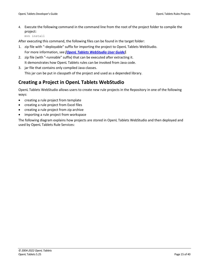4. Execute the following command in the command line from the root of the project folder to compile the project:

mvn install

After executing this command, the following files can be found in the target folder:

- 1. zip file with "-deployable" suffix for importing the project to OpenL Tablets WebStudio. For more information, see *[\[OpenL Tablets WebStudio User Guide\]](http://openl-tablets.sourceforge.net/docs/openl-tablets/latest/OpenL%20Tablets%20-%20WebStudio%20User%20Guide.pdf)*.
- 2. zip file (with "-runnable" suffix) that can be executed after extracting it. It demonstrates how OpenL Tablets rules can be invoked from Java code.
- 3. jar file that contains only compiled Java classes. This jar can be put in classpath of the project and used as a depended library.

### <span id="page-14-0"></span>**Creating a Project in OpenL Tablets WebStudio**

OpenL Tablets WebStudio allows users to create new rule projects in the Repository in one of the following ways:

- creating a rule project from template
- creating a rule project from Excel files
- creating a rule project from zip archive
- importing a rule project from workspace

The following diagram explains how projects are stored in OpenL Tablets WebStudio and then deployed and used by OpenL Tablets Rule Services: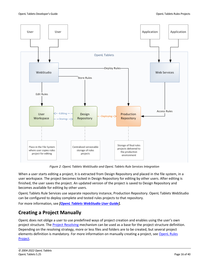

*Figure 2: OpenL Tablets WebStudio and OpenL Tablets Rule Services Integration*

When a user starts editing a project, it is extracted from Design Repository and placed in the file system, in a user workspace. The project becomes locked in Design Repository for editing by other users. After editing is finished, the user saves the project. An updated version of the project is saved to Design Repository and becomes available for editing by other users.

OpenL Tablets Rule Services use separate repository instance, Production Repository. OpenL Tablets WebStudio can be configured to deploy complete and tested rules projects to that repository.

For more information, see *[\[OpenL Tablets WebStudio User Guide\]](http://openl-tablets.sourceforge.net/docs/openl-tablets/latest/OpenL%20Tablets%20-%20WebStudio%20User%20Guide.pdf).*

### <span id="page-15-0"></span>**Creating a Project Manually**

OpenL does not oblige a user to use predefined ways of project creation and enables using the user's own project structure. Th[e Project Resolving](#page-13-0) mechanism can be used as a base for the project structure definition. Depending on the resolving strategy, more or less files and folders are to be created, but several project elements definition is mandatory. For more information on manually creating a project, see OpenL Rules [Project.](#page-10-1)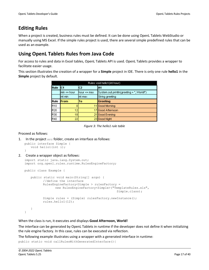### <span id="page-16-0"></span>**Editing Rules**

When a project is created, business rules must be defined. It can be done using OpenL Tablets WebStudio or manually using MS Excel. If the simple rules project is used, there are several simple predefined rules that can be used as an example.

### <span id="page-16-1"></span>**Using OpenL Tablets Rules from Java Code**

For access to rules and data in Excel tables, OpenL Tablets API is used. OpenL Tablets provides a wrapper to facilitate easier usage.

This section illustrates the creation of a wrapper for a **Simple** project in IDE. There is only one rule **hello1** in the **Simple** project by default.

|             | Rules void hello1(int hour) |                |                                           |  |  |
|-------------|-----------------------------|----------------|-------------------------------------------|--|--|
| <b>Rule</b> | IC1                         | C <sub>2</sub> | A <sub>1</sub>                            |  |  |
|             | lmin <= hour                | lhour <= max   | System.out.println(greeting + ", World!") |  |  |
|             | int min                     | lint maxi      | String greeting                           |  |  |
| <b>Rule</b> | <b>From</b>                 | To             | Greeting                                  |  |  |
| R10         | 0                           |                | Good Morning                              |  |  |
| R20         | 12                          |                | Good Afternoon                            |  |  |
| R30         | 18                          |                | Good Evening                              |  |  |
| R40         | 22                          |                | Good Night                                |  |  |

*Figure 3: The hello1 rule table*

#### Proceed as follows:

```
1. In the project src folder, create an interface as follows:
```

```
public interface Simple {
   void hello1(int i);
```
### }

```
2. Create a wrapper object as follows:
   import static java.lang.System.out;
   import org.openl.rules.runtime.RulesEngineFactory;
   public class Example {
      public static void main(String[] args) {
             //define the interface
             RulesEngineFactory<Simple > rulesFactory = 
                    new RulesEngineFactory<Simple>("TemplateRules.xls", 
                                                       Simple.class);
             Simple rules = (Simple) rulesFactory.newInstance();
             rules.hello1(12);
       }
   }
```
When the class is run, it executes and displays **Good Afternoon, World!**

The interface can be generated by OpenL Tablets in runtime if the developer does not define it when initializing the rule engine factory. In this case, rules can be executed via reflection.

The following example illustrates using a wrapper with a generated interface in runtime:

```
public static void callRulesWithGeneratedInterface(){
```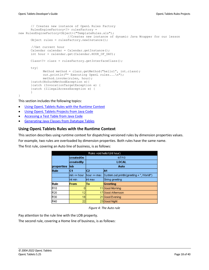```
// Creates new instance of OpenL Rules Factory
      RulesEngineFactory<?> rulesFactory = 
new RulesEngineFactory<Object>("TemplateRules.xls");
                           //Creates new instance of dynamic Java Wrapper for our lesson
      Object rules = rulesFactory.newInstance();
        //Get current hour
      Calendar calendar = Calendar.getInstance();
      int hour = calendar.get(Calendar.HOUR OF DAY);
      Class<?> clazz = rulesFactory.getInterfaceClass();
      try{
             Method method = clazz.getMethod("hello1", int.class);
             out.println("* Executing OpenL rules...\n");
             method.invoke(rules, hour);
      }catch(NoSuchMethodException e){
      }catch (InvocationTargetException e) {
      }catch (IllegalAccessException e) {
       }
}
```
This section includes the following topics:

- [Using OpenL Tablets Rules with the Runtime Context](#page-17-0)
- Using OpenL [Tablets Projects from Java Code](#page-18-0)
- [Accessing a Test Table from Java Code](#page-19-0)
- [Generating Java Classes from Datatype Tables](#page-19-1)

#### <span id="page-17-0"></span>**Using OpenL Tablets Rules with the Runtime Context**

This section describes using runtime context for dispatching versioned rules by dimension properties values. For example, two rules are overloaded by dimension properties. Both rules have the same name.

The first rule, covering an Auto line of business, is as follows:

| Rules void hello1(int hour) |                   |              |                                           |  |
|-----------------------------|-------------------|--------------|-------------------------------------------|--|
|                             | createdOn         |              | 4/7/10                                    |  |
|                             | createdBy         | LOCAL        |                                           |  |
| properties                  | llob              | Auto         |                                           |  |
| Rule                        | C1                | C2           | lA1                                       |  |
|                             | $min \leq - hour$ | lhour <= max | System.out.println(greeting + ", World!") |  |
|                             | lint min          | int max      | String greeting                           |  |
| Rule                        | From              | To           | Greeting                                  |  |
| R10                         |                   | 11           | Good Morning                              |  |
| lR20                        | 12                |              | 17 Good Afternoon                         |  |
| R30                         | 18                |              | 21 Good Evening                           |  |
| R40                         | 22                |              | 23 Good Night                             |  |

*Figure 4: The Auto rule*

Pay attention to the rule line with the LOB property.

The second rule, covering a Home line of business, is as follows: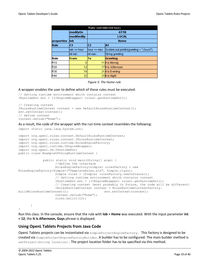|            |             | Rules void hello1(int hour) |                                         |  |  |
|------------|-------------|-----------------------------|-----------------------------------------|--|--|
|            | modifyOn    |                             | 4/7/10                                  |  |  |
|            | modifiedBy  |                             | LOCAL                                   |  |  |
| properties | llob        | Home                        |                                         |  |  |
| Rule       | C1          | C <sub>2</sub>              | lA1                                     |  |  |
|            | min <= hour | lhour <= max                | System.out.println(greeting + ",Guys!") |  |  |
|            | lint min    | lint max                    | String greeting                         |  |  |
| Rule       | From        | To                          | Greeting                                |  |  |
| R10        |             |                             | 11 It is Mornig                         |  |  |
| lR20       | 12          |                             | 17 lt is Afternoon                      |  |  |
| <b>R30</b> | 18          |                             | 21 It is Evening                        |  |  |
| R40        | 22          |                             | 23 It is Night                          |  |  |

*Figure 5: The Home rule*

#### A wrapper enables the user to define which of these rules must be executed:

```
// Getting runtime environment which contains context
IRuntimeEnv env = ((IEngineWrapper) rules).getRuntimeEnv();
```

```
// Creating context
IRulesRuntimeContext context = new DefaultRulesRuntimeContext();
env.setContext(context);
// define context
context.setLob("Home");
```
#### As a result, the code of the wrapper with the run-time context resembles the following:

import static java.lang.System.out;

```
import org.openl.rules.context.DefaultRulesRuntimeContext;
import org.openl.rules.context.IRulesRuntimeContext;
import org.openl.rules.runtime.RulesEngineFactory;
import org.openl.runtime.IEngineWrapper;
import org.openl.vm.IRuntimeEnv;
public class ExampleOfUsingRuntimeContext {
             public static void main(String[] args) {
                    //define the interface
                   RulesEngineFactory<simple> rulesFactory = new 
RulesEngineFactory<Simple>("TemplateRules.xls", Simple.class);
                   Simple rules = (Simple) rulesFactory.newInstance();
                   // Getting runtime environment which contains context 
                    IRuntimeEnv env = ((IEngineWrapper) rules).getRuntimeEnv();
                    // Creating context (most probably in future, the code will be different)
                   IRulesRuntimeContext context = RulesRuntimeContextFactory.
buildRulesRuntimeContext(); env.setContext(context);
                   context.setLob("Home");
                   rules.hello1(12);
      }
```
Run this class. In the console, ensure that the rule with **lob = Home** was executed. With the input parameter **int = 12**, the **It is Afternoon, Guys** phrase is displayed.

#### <span id="page-18-0"></span>**Using OpenL Tablets Projects from Java Code**

OpenL Tablets projects can be instantiated via SimpleProjectEngineFactory. This factory is designed to be created via SimpleProjectEngineFactoryBuilder. A builder has to be configured. The main builder method is set Project (String location). The project location folder has to be specified via this method.

}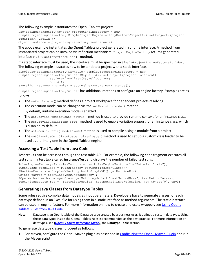#### The following example instantiates the OpenL Tablets project:

```
ProjectEngineFactory<Object> projectEngineFactory = new 
SimpleProjectEngineFactory.SimpleProjectEngineFactoryBuilder<Object>().setProject(<project 
location>) .build();
Object instance = projectEngineFactory.newInstance();
```
The above example instantiates the OpenL Tablets project generated in runtime interface. A method from instantiated project can be invoked via reflection mechanism. ProjectEngineFactory returns generated interface via the getInterfaceClass() method.

If a static interface must be used, the interface must be specified in SimpleProjectEngineFactoryBuilder. The following example illustrates how to instantiate a project with a static interface.

```
SimpleProjectEngineFactory<SayHello> simpleProjectEngineFactory = new 
SimpleProjectEngineFactoryBuilder<SayHello>().setProject<project location>)
                 .setInterfaceClass(SayHello.class)
                 .build();
SayHello instance = simpleProjectEngineFactory.newInstance();
```
SimpleProjectEngineFactoryBuilder has additional methods to configure an engine factory. Examples are as follows:

- The setWorkspace() method defines a project workspace for dependent projects resolving.
- The execution mode can be changed via the  $set {ExecutionMode}$  () method.

```
By default, runtime execution mode is enabled.
```
- The setProvideRuntimeContext(true) method is used to provide runtime context for an instance class.
- The setProvideVariations (true) method is used to enable variation support for an instance class, which is disabled by default.
- The setModule (String moduleName) method is used to compile a single module from a project.
- The setClassLoader (ClassLoader classLoader) method is used to set up a custom class loader to be used as a primary one in the OpenL Tablets engine.

#### <span id="page-19-0"></span>**Accessing a Test Table from Java Code**

Test results can be accessed through the test table API. For example, the following code fragment executes all test runs in a test table called **insuranceTest** and displays the number of failed test runs:

```
RulesEngineFactory<?> rulesFactory = new RulesEngineFactory<?>("Tutorial_1.xls");
IOpenClass openClass = rulesFactory.getCompiledOpenClass();
IRuntimeEnv env = SimpleVMFactory.buildSimpleVM().getRuntimeEnv();
Object target = openClass.newInstance(env);
IOpenMethod method = openClass.getMatchingMethod("testMethodName", testMethodParams);
TestUnitsResults res = (TestUnitsResults) testMethod.invoke(engine, new Object[0], env);
```
#### <span id="page-19-1"></span>**Generating Java Classes from Datatype Tables**

Some rules require complex data models as input parameters. Developers have to generate classes for each datatype defined in an Excel file for using them in a static interface as method arguments. The static interface can be used in engine factory. For more information on how to create and use a wrapper, see [Using OpenL](#page-16-1)  [Tablets Rules from Java Code.](#page-16-1)

**Note:** Datatype is an OpenL table of the Datatype type created by a business user. It defines a custom data type. Using these data types inside the OpenL Tablets rules is recommended as the best practice. For more information on datatypes, see *[\[OpenL Tablets Reference Guide\]](http://openl-tablets.sourceforge.net/docs/openl-tablets/latest/OpenL%20Tablets%20-%20Reference%20Guide.pdf)*, the **Datatype Table** section.

To generate datatype classes, proceed as follows:

1. For Maven, configure the OpenL Maven plugin as described i[n Configuring the OpenL Maven Plugin](#page-20-0) and run the Maven script.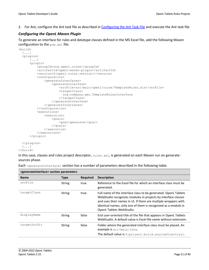2. For Ant, configure the Ant task file as described in [Configuring the Ant Task File](#page-21-0) and execute the Ant task file.

#### <span id="page-20-0"></span>*Configuring the OpenL Maven Plugin*

To generate an interface for rules and datatype classes defined in the MS Excel file, add the following Maven configuration to the pom.xml file:

```
<build>
   [...]
   <plugins>
      [\ldots] <plugin>
           <groupId>org.openl.rules</groupId>
           <artifactId>openl-maven-plugin</artifactId>
           <version>${openl.rules.version}</version>
           <configuration>
                <generateInterfaces>
                    <generateInterface>
                        <srcFile>src/main/openl/rules/TemplateRules.xls</srcFile>
                        <targetClass>
                          org.company.gen.TemplateRulesInterface
                        </targetClass>
                    </generateInterface>
                </generateInterfaces>
            </configuration>
            <executions>
                <execution>
                    <goals>
                        <goal>generate</goal>
                    </goals>
                </execution>
           </executions>
       </plugin>
   </plugins>
   [...]
</build>
```
In this case, classes and rules project descriptor, rules. xml, is generated on each Maven run on generatesources phase.

Each <generateInterface> section has a number of parameters described in the following table.

| <generatemteriace> section parameters</generatemteriace> |               |                 |                                                                                                                                                                                                                                                                                                   |
|----------------------------------------------------------|---------------|-----------------|---------------------------------------------------------------------------------------------------------------------------------------------------------------------------------------------------------------------------------------------------------------------------------------------------|
| <b>Name</b>                                              | <b>Type</b>   | <b>Required</b> | <b>Description</b>                                                                                                                                                                                                                                                                                |
| srcFile                                                  | <b>String</b> | true            | Reference to the Excel file for which an interface class must be<br>generated.                                                                                                                                                                                                                    |
| targetClass                                              | <b>String</b> | true            | Full name of the interface class to be generated. OpenL Tablets<br>WebStudio recognizes modules in projects by interface classes<br>and uses their names in UI. If there are multiple wrappers with<br>identical names, only one of them is recognized as a module in<br>OpenL Tablets WebStudio. |
| displayName                                              | <b>String</b> | false           | End user-oriented title of the file that appears in OpenL Tablets<br>WebStudio. A default value is Excel file name without extension.                                                                                                                                                             |
| targetSrcDir                                             | <b>String</b> | false           | Folder where the generated interface class must be placed. An<br>example is src/main/java.<br>The default value is \${project.build.sourceDirectory}.                                                                                                                                             |
|                                                          |               |                 |                                                                                                                                                                                                                                                                                                   |

## **<generateInterface> section parameters**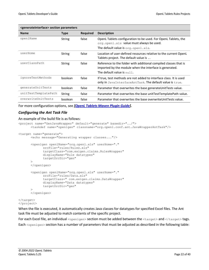| <generateinterface> section parameters</generateinterface> |               |                 |                                                                                                                                                                         |
|------------------------------------------------------------|---------------|-----------------|-------------------------------------------------------------------------------------------------------------------------------------------------------------------------|
| <b>Name</b>                                                | <b>Type</b>   | <b>Required</b> | <b>Description</b>                                                                                                                                                      |
| openlName                                                  | String        | false           | OpenL Tablets configuration to be used. For OpenL Tablets, the<br>org.openl.xls value must always be used.<br>The default value is $\text{org.open} \cdot \text{xls}$ . |
| userHome                                                   | <b>String</b> | false           | Location of user-defined resources relative to the current OpenL<br>Tablets project. The default value is                                                               |
| userClassPath                                              | <b>String</b> | false           | Reference to the folder with additional compiled classes that is<br>imported by the module when the interface is generated.<br>The default value is $null.$             |
| ignoreTestMethods                                          | boolean       | false           | If true, test methods are not added to interface class. It is used<br>only in JavaInterfaceAntTask. The default value is true.                                          |
| qenerateUnitTests                                          | boolean       | false           | Parameter that overwrites the base generateUnitTests value.                                                                                                             |
| unitTestTemplatePath                                       | <b>String</b> | false           | Parameter that overwrites the base unitTestTemplatePath value.                                                                                                          |
| overwriteUnitTests                                         | boolean       | false           | Parameter that overwrites the base overwrite Unit Tests value.                                                                                                          |

For more configuration options, see *[\[OpenL Tablets Maven Plugin Guide\]](http://openl-tablets.sourceforge.net/docs/openl-tablets/latest/OpenL%20Tablets%20-%20Maven%20Plugin%20Guide.pdf).*

#### <span id="page-21-0"></span>*Configuring the Ant Task File*

#### An example of the build file is as follows:

```
<project name="GenJavaWrapper" default="generate" basedir="../">
      <taskdef name="openlgen" classname="org.openl.conf.ant.JavaWrapperAntTask"/>
<target name="generate">
      <echo message="Generating wrapper classes..."/>
      <openlgen openlName="org.openl.xls" userHome="." 
             srcFile="rules/Rules.xls"
             targetClass="com.exigen.claims.RulesWrapper"
             displayName="Rule datatypes"
             targetSrcDir="gen"
      >
      </openlgen>
```

```
<openlgen openlName="org.openl.xls" userHome="." 
      srcFile="rules/Data.xls"
      targetClass=" com.exigen.claims.DataWrapper"
      displayName="Data datatypes"
      targetSrcDir="gen"
>
</openlgen>
```
#### </target> </project>

When the file is executed, it automatically creates Java classes for datatypes for specified Excel files. The Ant task file must be adjusted to match contents of the specific project.

For each Excel file, an individual <openlgen> section must be added between the <target> and </target> tags. Each <openlgen> section has a number of parameters that must be adjusted as described in the following table: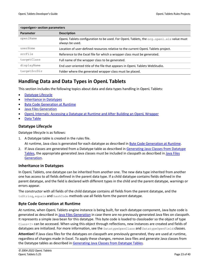| <openigen> section parameters</openigen> |                                                                                                                                   |  |
|------------------------------------------|-----------------------------------------------------------------------------------------------------------------------------------|--|
| Parameter                                | <b>Description</b>                                                                                                                |  |
| openlName                                | OpenL Tablets configuration to be used. For OpenL Tablets, the $\text{org}.\text{openl}.\text{xls}$ value must<br>always be used. |  |
| userHome                                 | Location of user-defined resources relative to the current OpenL Tablets project.                                                 |  |
| srcFile                                  | Reference to the Excel file for which a wrapper class must be generated.                                                          |  |
| targetClass                              | Full name of the wrapper class to be generated.                                                                                   |  |
| displayName                              | End user-oriented title of the file that appears in OpenL Tablets WebStudio.                                                      |  |
| targetSrcDir                             | Folder where the generated wrapper class must be placed.                                                                          |  |

### <span id="page-22-0"></span>**Handling Data and Data Types in OpenL Tablets**

This section includes the following topics about data and data types handling in OpenL Tablets:

- [Datatype Lifecycle](#page-22-1)
- [Inheritance in Datatypes](#page-22-2)
- Byte [Code Generation at Runtime](#page-22-3)
- [Java Files Generation](#page-23-0)
- [OpenL Internals: Accessing a Datatype at Runtime and After Building an OpenL Wrapper](#page-23-1)
- [Data Table](#page-23-2)

#### <span id="page-22-1"></span>**Datatype Lifecycle**

Datatype lifecycle is as follows:

- 1. A Datatype table is created in the rules file. At runtime, Java class is generated for each datatype as described in [Byte Code Generation at Runtime.](#page-22-3)
- 2. If Java classes are generated from a Datatype table as described in [Generating Java Classes from Datatype](#page-19-1)  [Tables,](#page-19-1) the appropriate generated Java classes must be included in classpath as described i[n Java Files](#page-23-0)  [Generation.](#page-23-0)

#### <span id="page-22-2"></span>**Inheritance in Datatypes**

In OpenL Tablets, one datatype can be inherited from another one. The new data type inherited from another one has access to all fields defined in the parent data type. If a child datatype contains fields defined in the parent datatype, and the field is declared with different types in the child and the parent datatype, warnings or errors appear.

The constructor with all fields of the child datatype contains all fields from the parent datatype, and the toString, equals and hashCode methods use all fields form the parent datatype.

#### <span id="page-22-3"></span>**Byte Code Generation at Runtime**

At runtime, when OpenL Tablets engine instance is being built, for each datatype component, Java byte code is generated as described i[n Java Files Generation](#page-23-0) in case there are no previously generated Java files on classpath. It represents a simple Java bean for this datatype. This byte code is loaded to classloader so the object of type Class<?> can be accessed. When using this object through reflections, new instances are created and fields of datatypes are initialized. For more information, see the DatatypeOpenClass and DatatypeOpenField classes.

**Attention!** If Java class files for the datatypes on classpath are previously generated, they are used at runtime, regardless of changes made in Excel. To apply these changes, remove Java files and generate Java classes from the Datatype tables as described in [Generating Java Classes from Datatype Tables.](#page-19-1)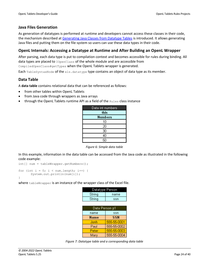#### <span id="page-23-0"></span>**Java Files Generation**

As generation of datatypes is performed at runtime and developers cannot access these classes in their code, the mechanism described at [Generating Java Classes from Datatype Tables](#page-19-1) is introduced. It allows generating Java files and putting them on the file system so users can use these data types in their code.

#### <span id="page-23-1"></span>**OpenL Internals: Accessing a Datatype at Runtime and After Building an OpenL Wrapper**

After parsing, each data type is put to compilation context and becomes accessible for rules during binding. All data types are placed to IOpenClass of the whole module and are accessible from

CompiledOpenClass#getTypes when the OpenL Tablets wrapper is generated.

Each  $TableSyntaxNode$  of the  $xls$  datatype type contains an object of data type as its member.

#### <span id="page-23-2"></span>**Data Table**

A **data table** contains relational data that can be referenced as follows:

- from other tables within OpenL Tablets
- from Java code through wrappers as Java arrays
- through the OpenL Tablets runtime API as a field of the Rules class instance

| Data int numbers |
|------------------|
| this             |
| Numbers          |
| 10               |
| 20               |
| 30               |
| 40               |
| 50               |

*Figure 6: Simple data table*

In this example, information in the data table can be accessed from the Java code as illustrated in the following code example:

```
int[] num = tableWrapper.getNumbers();
for (int i = 0; i < num.length; i++) {
```

```
System.out.println(num[i]);
```
}

where tableWrapper is an instance of the wrapper class of the Excel file.

| Datatype Person |             |  |
|-----------------|-------------|--|
| String          | name        |  |
| String          | ssn         |  |
|                 |             |  |
| Data Person p1  |             |  |
| name            | ssn         |  |
| Name            | <b>SSN</b>  |  |
| Jonh            | 555-55-0001 |  |
| Paul            | 555-55-0002 |  |
| Peter           | 555-55-0003 |  |
| Mary            | 555-55-0004 |  |

*Figure 7: Datatype table and a corresponding data table*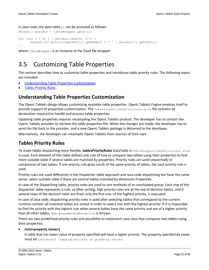In Java code, the data table  $p1$  can be accessed as follows:

```
Person[] persArr = tableWrapper.getP1();
for (int i = 0; i < persArr.length; i++) {
      System.out.println(persArr[i].getName() + ' ' + persArr[i].getSsn());
}
```
<span id="page-24-0"></span>where tableWrapper is an instance of the Excel file wrapper.

## 3.5 Customizing Table Properties

This section describes how to customize table properties and introduces table priority rules. The following topics are included:

- [Understanding Table Properties Customization](#page-24-1)
- [Tables Priority Rules](#page-24-2)

### <span id="page-24-1"></span>**Understanding Table Properties Customization**

The OpenL Tablets design allows customizing available table properties. OpenL Tablets Engine employs itself to provide support of properties customization. The TablePropertiesDefinitions.xlsx file contains all declaration required to handle and process table properties.

Updating table properties requires recompiling the OpenL Tablets product. The developer has to contact the OpenL Tablets provider to retrieve the table properties file. When the changes are made, the developer has to send the file back to the provider, and a new OpenL Tablets package is delivered to the developer.

Alternatively, the developer can recompile OpenL Tablets from sources of their own.

### <span id="page-24-2"></span>**Tables Priority Rules**

To make tables dispatching more flexible, **tablesPriorityRules** DataTable in TablePropertiesDefinitions.xlsx is used. Each element of this table defines one rule of how to compare two tables using their properties to find more suitable table if several tables are matched by properties. Priority rules are used sequentially in comparison of two tables: if one priority rule gives result of the same priority of tables, the next priority rule is used.

Priority rules are used differently in the Dispatcher table approach and Java code dispatching but have the same sense: select suitable table if there are several tables matched by dimension Properties.

In case of the Dispatching table, priority rules are used to sort methods of an overloaded group. Each row of the Dispatcher table represents a rule, so after sorting, high priority rules are at the top of decision tables, and if several rows of the decision table are fired, only the first one, of the highest priority, is executed.

In case of Java code, dispatching priority rules is used after selecting tables that correspond to the current runtime context: all matched tables are sorted in order to select one with the highest priority. If it is impossible to find the priority with the highest rule when several tables have the same priority and are of a higher priority than all other tables, AmbiguousMethodException is thrown.

There are two predefined priority rules and possibility to implement Java class that compares two tables using their properties:

#### • **min(<property name>)**

A table that has lower value of property specified will have a higher priority. The property specified by name must be instance of Comparable<class of property value>.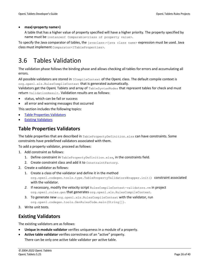#### • **max(<property name>)**

A table that has a higher value of property specified will have a higher priority. The property specified by name must be instance of Comparable<class of property value>.

To specify the Java comparator of tables, the javaclass:<java class name> expression must be used. Java class must implement Comparator<ITableProperties>.

## <span id="page-25-0"></span>3.6 Tables Validation

The validation phase follows the binding phase and allows checking all tables for errors and accumulating all errors.

All possible validators are stored in  $IComplied$   $Context$  of the OpenL class. The default compile context is org.openl.xls.RulesCompileContext that is generated automatically.

Validators get the OpenL Tablets and array of TableSyntaxNodes that represent tables for check and must return ValidationResult. Validation results are as follows:

- status, which can be fail or success
- all error and warning messages that occurred

This section includes the following topics:

- [Table Properties Validators](#page-25-1)
- **[Existing Validators](#page-25-2)**

### <span id="page-25-1"></span>**Table Properties Validators**

The table properties that are described in TablePropertyDefinition.xlsx can have constraints. Some constraints have predefined validators associated with them.

To add a property validator, proceed as follows:

- 1. Add constraint as follows:
	- 1. Define constraint in TablePropertyDefinition.xlsx, in the constraints field.
	- 2. Create constraint class and add it to ConstraintFactory.
- 2. Create a validator as follows:
	- 1. Create a class of the validator and define it in the method org.openl.codegen.tools.type.TablePropertyValidatorsWrapper.init() **constraint associated** with the validator.
	- 2. If necessary, modify the velocity script RulesCompileContext-validators.vm in project org.openl.rules.gen that generates org.openl.xls.RulesCompileContext*.*
	- 3. To generate new org.openl.xls.RulesCompileContext with the validator, run org.openl.codegen.tools.GenRulesCode.main(String[]).
- 3. Write unit tests.

### <span id="page-25-2"></span>**Existing Validators**

The existing validators are as follows:

- **Unique in module validator** verifies uniqueness in a module of a property.
- **Active table validator** verifies correctness of an "active" property. There can be only one active table validator per active table.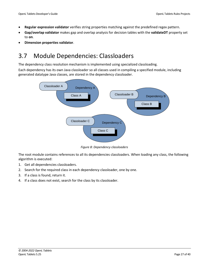- **Regular expression validator** verifies string properties matching against the predefined regex pattern.
- **Gap/overlap validator** makes gap and overlap analysis for decision tables with the **validateDT** property set to **on**.
- <span id="page-26-0"></span>• **Dimension properties validator**.

## 3.7 Module Dependencies: Classloaders

The dependency class resolution mechanism is implemented using specialized classloading.

Each dependency has its own Java classloader so all classes used in compiling a specified module, including generated datatype Java classes, are stored in the dependency classloader.



*Figure 8: Dependency classloaders*

The root module contains references to all its dependencies classloaders. When loading any class, the following algorithm is executed:

- 1. Get all dependencies classloaders.
- 2. Search for the required class in each dependency classloader, one by one.
- 3. If a class is found, return it.
- 4. If a class does not exist, search for the class by its classloader.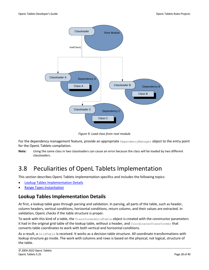

*Figure 9: Load class from root module*

For the dependency management feature, provide an appropriate DependencyManager object to the entry point for the OpenL Tablets compilation.

**Note:** Using the same class in two classloaders can cause an error because the class will be loaded by two different classloaders.

## <span id="page-27-0"></span>3.8 Peculiarities of OpenL Tablets Implementation

This section describes OpenL Tablets implementation specifics and includes the following topics:

- [Lookup Tables Implementation Details](#page-27-1)
- **[Range Types Instantiation](#page-28-0)**

### <span id="page-27-1"></span>**Lookup Tables Implementation Details**

At first, a lookup table goes through parsing and validation. In parsing, all parts of the table, such as header, column headers, vertical conditions, horizontal conditions, return column, and their values are extracted. In validation, OpenL checks if the table structure is proper.

To work with this kind of a table, the TransformedGridTable object is created with the constructor parameters it had in the original grid table of the lookup table, without a header, and CoordinatesTransformer that converts table coordinates to work with both vertical and horizontal conditions.

As a result, a GridTable is received. It works as a decision table structure. All coordinate transformations with lookup structure go inside. The work with columns and rows is based on the physical, not logical, structure of the table.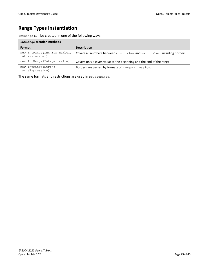### <span id="page-28-0"></span>**Range Types Instantiation**

IntRange can be created in one of the following ways:

| IntRange creation methods                        |                                                                          |  |  |
|--------------------------------------------------|--------------------------------------------------------------------------|--|--|
| <b>Format</b>                                    | <b>Description</b>                                                       |  |  |
| new IntRange (int min number,<br>int max number) | Covers all numbers between min number and max number, including borders. |  |  |
| new IntRange (Integer value)                     | Covers only a given value as the beginning and the end of the range.     |  |  |
| new IntRange (String<br>rangeExpression)         | Borders are parsed by formats of range Expression.                       |  |  |

The same formats and restrictions are used in DoubleRange.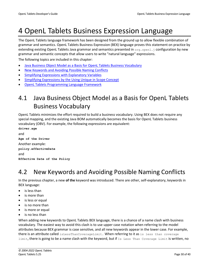## <span id="page-29-0"></span>4 OpenL Tablets Business Expression Language

The OpenL Tablets language framework has been designed from the ground up to allow flexible combination of grammar and semantics. OpenL Tablets Business Expression (BEX) language proves this statement on practice by extending existing OpenL Tablets Java grammar and semantics presented in  $\sigma$ rg.openl.j configuration by new grammar and semantic concepts that allow users to write "natural language" expressions.

The following topics are included in this chapter:

- [Java Business Object Model as a Basis for OpenL Tablets Business Vocabulary](#page-29-1)
- [New Keywords and Avoiding](#page-29-2) Possible Naming Conflicts
- [Simplifying Expressions with Explanatory Variables](#page-30-0)
- Simplifying Expressions [by the Using Unique in Scope Concept](#page-30-1)
- <span id="page-29-1"></span>• [OpenL Tablets Programming Language](#page-30-3) Framework

## 4.1 Java Business Object Model as a Basis for OpenL Tablets Business Vocabulary

OpenL Tablets minimizes the effort required to build a business vocabulary. Using BEX does not require any special mapping, and the existing Java BOM automatically becomes the basis for OpenL Tablets business vocabulary (OBV). For example, the following expressions are equivalent:

```
driver.age 
and 
Age of the Driver 
Another example: 
policy.effectiveDate 
and 
Effective Date of the Policy
```
## <span id="page-29-2"></span>4.2 New Keywords and Avoiding Possible Naming Conflicts

In the previous chapter, a new **of the** keyword was introduced. There are other, self-explanatory, keywords in BEX language:

- is less than
- is more than
- is less or equal
- is no more than
- is more or equal
- is no less than

When adding new keywords to OpenL Tablets BEX language, there is a chance of a name clash with business vocabulary. The easiest way to avoid this clash is to use upper case notation when referring to the model attributes because BEX grammar is case sensitive, and all new keywords appear in the lower case. For example, there is an attribute called isLessThanCoverageLimit. When referring to it as is less than coverage limit, there is going to be a name clash with the keyword, but if Is Less Than Coverage Limit is written, no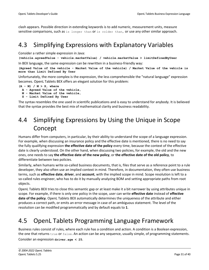clash appears. Possible direction in extending keywords is to add numeric, measurement units, measure sensitive comparisons, such as is longer than or is colder than, or use any other similar approach.

## <span id="page-30-0"></span>4.3 Simplifying Expressions with Explanatory Variables

Consider a rather simple expression in Java:

**(vehicle.agreedValue - vehicle.marketValue) / vehicle.marketValue > limitDefinedByUser** 

In BEX language, the same expression can be rewritten in a business-friendly way:

**(Agreed Value of the vehicle - Market Value of the vehicle) / Market Value of the vehicle is more than Limit Defined By User**

Unfortunately, the more complex is the expression, the less comprehensible the "natural language" expression becomes. OpenL Tablets BEX offers an elegant solution for this problem:

```
(A - M) / M > X, where
  A - Agreed Value of the vehicle,
  M - Market Value of the vehicle,
  X - Limit Defined By User
```
The syntax resembles the one used in scientific publications and is easy to understand for anybody. It is believed that the syntax provides the best mix of mathematical clarity and business readability.

## <span id="page-30-1"></span>4.4 Simplifying Expressions by Using the Unique in Scope Concept

Humans differ from computers, in particular, by their ability to understand the scope of a language expression. For example, when discussing an insurance policy and the effective date is mentioned, there is no need to say the fully qualifying expression **the effective date of the policy** every time, because the context of the effective date is clearly understood. On the other hand, when discussing two policies, for example, the old and the new ones, one needs to say **the effective date of the new policy**, or **the effective date of the old policy**, to differentiate between two policies.

Similarly, when humans write so-called business documents, that is, files that serve as a reference point to a rule developer, they also often use an implied context in mind. Therefore, in documentation, they often use business terms, such as **effective date**, **driver**, and **account**, with the implied scope in mind. Scope resolution is left to a so-called rules engineer, who has to do it by manually analyzing BOM and setting appropriate paths from root objects.

OpenL Tablets BEX tries to close this semantic gap or at least make it a bit narrower by using attributes unique in scope. For example, if there is only one policy in the scope, user can write **effective date** instead of **effective date of the policy**. OpenL Tablets BEX automatically determines the uniqueness of the attribute and either produces a correct path, or emits an error message in case of an ambiguous statement. The level of the resolution can be modified programmatically and by default equals to **1**.

## <span id="page-30-3"></span><span id="page-30-2"></span>4.5 OpenL Tablets Programming Language Framework

Business rules consist of rules, where each rule has a condition and action. A condition is a Boolean expression, the one that returns true or false. An action can be any sequence, usually simple, of programming statements.

Consider an expression **driver.age < 25**.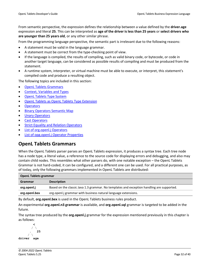From semantic perspective, the expression defines the relationship between a value defined by the **driver.age** expression and literal **25**. This can be interpreted as **age of the driver is less than 25 years** or **select drivers who are younger than 25 years old**, or any other similar phrase.

From the programming language perspective, the semantic part is irrelevant due to the following reasons:

- A statement must be valid in the language grammar.
- A statement must be correct from the type-checking point of view.
- If the language is compiled, the results of compiling, such as valid binary code, or bytecode, or code in another target language, can be considered as possible results of compiling and must be produced from the statement.
- A runtime system, interpreter, or virtual machine must be able to execute, or interpret, this statement's compiled code and produce a resulting object.

The following topics are included in this section:

- [OpenL Tablets Grammars](#page-31-0)
- [Context, Variables and Types](#page-32-0)
- [OpenL Tablets](#page-32-1) Type System
- **[OpenL Tablets as OpenL Tablets Type](#page-33-0) Extension**
- **[Operators](#page-33-1)**
- [Binary Operators Semantic Map](#page-34-0)
- **[Unary Operators](#page-34-1)**
- [Cast Operators](#page-34-2)
- [Strict Equality and Relation Operators](#page-34-3)
- List of [org.openl.j Operators](#page-34-4)
- <span id="page-31-0"></span>[List of opg.openl.j Operator Properties](#page-36-0)

#### **OpenL Tablets Grammars**

When the OpenL Tablets parser parses an OpenL Tablets expression, it produces a syntax tree. Each tree node has a node type, a literal value, a reference to the source code for displaying errors and debugging, and also may contain child nodes. This resembles what other parsers do, with one notable exception – the OpenL Tablets Grammar is not hard-coded, it can be configured, and a different one can be used. For all practical purposes, as of today, only the following grammars implemented in OpenL Tablets are distributed:

| <b>OpenL Tablets grammar</b> |                                                                                           |  |
|------------------------------|-------------------------------------------------------------------------------------------|--|
| Grammar                      | <b>Description</b>                                                                        |  |
| org.openl.j                  | Based on the classic Java 1.3 grammar. No templates and exception handling are supported. |  |
| org.openl.bex                | org.openl.j grammar with business natural language extensions.                            |  |

By default, **org.openl.bex** is used in the OpenL Tablets business rules product.

An experimental **org.openl.n3 grammar** is available, and **org.openl.sql** grammar is targeted to be added in the future.

The syntax tree produced by the **org.openl.j** grammar for the expression mentioned previously in this chapter is as follows:

 **<**  $\sqrt{2}$  **. 25**  $\overline{\phantom{a}}$ **driver age**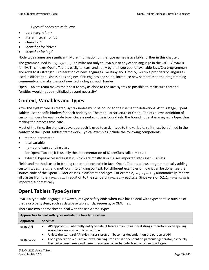Types of nodes are as follows:

- **op.binary.lt** for '<'
- **literal.integer** for '25'
- **chain** for '.'
- **identifier** for 'driver'
- **identifier** for 'age'

Node type names are significant. More information on the type names is available further in this chapter.

The grammar used in  $\text{org.open}.$  is similar not only to Java but to any other language in the C/C++/Java/C# family. This makes OpenL Tablets easily to learn and apply by the huge pool of available Java/Cxx programmers and adds to its strength. Proliferation of new languages like Ruby and Groovy, multiple proprietary languages used in different business rules engines, CEP engines and so on, introduce new semantics to the programming community and make usage of new technologies much harder.

OpenL Tablets team makes their best to stay as close to the Java syntax as possible to make sure that the "entities would not be multiplied beyond necessity".

### <span id="page-32-0"></span>**Context, Variables and Types**

After the syntax tree is created, syntax nodes must be bound to their semantic definitions. At this stage, OpenL Tablets uses specific binders for each node type. The modular structure of OpenL Tablets allows definition of custom binders for each node type. Once a syntax node is bound into the bound node, it is assigned a type, thus making the process type-safe.

Most of the time, the standard Java approach is used to assign type to the variable, so it must be defined in the context of the OpenL Tablets framework. Typical examples include the following components:

- method parameter
- local variable
- member of surrounding class

For OpenL Tablets, it is usually the implementation of IOpenClass called **module**.

external types accessed as static, which are mostly Java classes imported into OpenL Tablets

Fields and methods used in binding context do not exist in Java; OpenL Tablets allows programmatically adding custom types, fields, and methods into binding context. For different examples of how it can be done, see the source code of the OpenLBuilder classes in different packages. For example,  $\sigma$ rg.openl.j automatically imports all classes from the  $java.util$  in addition to the standard  $java.lang$  package. Since version 5.1.1,  $java.mainloop$ imported automatically.

### <span id="page-32-1"></span>**OpenL Tablets Type System**

Java is a type-safe language. However, its type-safety ends when Java has to deal with types that lie outside of the Java type system, such as database tables, http requests, or XML files.

| Approaches to deal with types outside the Java type system |                  |                                                                                                                                                                                          |  |
|------------------------------------------------------------|------------------|------------------------------------------------------------------------------------------------------------------------------------------------------------------------------------------|--|
| Approach                                                   | <b>Specifics</b> |                                                                                                                                                                                          |  |
| using API                                                  |                  | API approach is inherently not type-safe, it treats attribute as literal strings; therefore, even spelling<br>errors become visible only in runtime.                                     |  |
|                                                            | ٠                | Unless the standard API exists, user's program becomes dependent on the particular API.                                                                                                  |  |
| using code                                                 | $\bullet$        | Code generation requires an extra building step and is dependent on particular generator, especially<br>the part where names and name spaces are converted into Java names and packages. |  |
|                                                            |                  |                                                                                                                                                                                          |  |

There are two approaches to deal with those external types: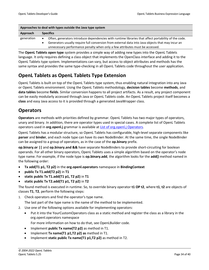| Approaches to deal with types outside the Java type system |                  |                                                                                                      |
|------------------------------------------------------------|------------------|------------------------------------------------------------------------------------------------------|
| Approach                                                   | <b>Specifics</b> |                                                                                                      |
| generation                                                 |                  | Often, generators introduce dependencies with runtime libraries that affect portability of the code. |
|                                                            |                  | Generators usually require full conversion from external data into Java objects that may incur an    |
|                                                            |                  | unnecessary performance penalty when only a few attributes must be accessed.                         |

The **OpenL Tablets open type** system provides a simple way of adding new types into the OpenL Tablets language. It only requires defining a class object that implements the OpenClass interface and adding it to the OpenL Tablets type system. Implementations can vary, but access to object attributes and methods has the same syntax and provides the same type-checking in all OpenL Tablets code throughout the user application.

### <span id="page-33-0"></span>**OpenL Tablets as OpenL Tablets Type Extension**

OpenL Tablets is built on top of the OpenL Tablets type system, thus enabling natural integration into any Java or OpenL Tablets environment. Using the OpenL Tablets methodology, **decision tables** become **methods**, and **data tables** become **fields**. Similar conversion happens to all project artifacts. As a result, any project component can be easily modularly accessed through Java or OpenL Tablets code. An OpenL Tablets project itself becomes a **class** and easy Java access to it is provided through a generated JavaWrapper class.

### <span id="page-33-1"></span>**Operators**

**Operators** are methods with priorities defined by grammar. OpenL Tablets has two major types of operators, unary and binary. In addition, there are operator types used in special cases. A complete list of OpenL Tablets operators used in **org.openl.j** grammar is available at List of [org.openl.j Operators.](#page-34-4)

OpenL Tablets has a modular structure, so OpenL Tablets has configurable, high-level separate components like **parser** and **binder**, and each node type can have its own NodeBinder. At the same time, the single NodeBinder can be assigned to a group of operators, as in the case of the **op.binary** prefix.

**op.binary.or ||** and **op.binary.and &&** have separate NodeBinders to provide short-circuiting for boolean operands. For all other binary operators, OpenL Tablets uses a simple algorithm based on the operator's node type name. For example, if the node type is **op.binary.add**, the algorithm looks for the **add()** method named in the following order:

- **Tx add(T1 p1, T2 p2)** in the **org.openl.operators** namespace in **BindingContext**
- **public Tx T1.add(T2 p2)** in **T1**
- **static public Tx T1.add(T1 p1, T2 p2)** in **T1**
- **static public Tx T2.add(T1 p1, T2 p2)** in **T2**

The found method is executed in runtime. So, to override binary operator **t1 OP t2**, where **t1**, **t2** are objects of classes **T1**, **T2**, perform the following steps:

- 1. Check operators and find the operator's type name.
	- The last part of the type name is the name of the method to be implemented.
- 2. Use one of the following options available for implementing operators:
	- Put it into the YourCustomOperators class as a static method and register the class as a library in the org.openl.operators namespace

For more information on how to do that, see OpenLBuilder code.

- Implement **public Tx name(T2 p2)** as method in T1.
- Implement **Tx name(T1 p1,T2 p2) as** method in T1.
- Implement **static public Tx name(T1 p1,T2 p2)** as method in T2.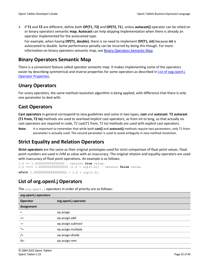3. If **T1** and **T2** are different, define both **OP(T1, T2)** and **OP(T2, T1**), unless **autocast()** operator can be relied on or binary operators semantic **map. Autocast** can help skipping implementation when there is already an operator implemented for the autocasted type.

For example, when having **OP(T1, double)**, there is no need to implement **OP(T1, int)** because **int** is autocasted to double. Some performance penalty can be incurred by doing this though. For more information on binary operators semantic map, se[e Binary Operators](#page-34-0) Semantic Map.

### <span id="page-34-0"></span>**Binary Operators Semantic Map**

There is a convenient feature called *operator semantic map*. It makes implementing some of the operators easier by describing symmetrical and inverse properties for some operators as described in [List of opg.openl.j](#page-36-0)  [Operator Properties.](#page-36-0)

### <span id="page-34-1"></span>**Unary Operators**

For unary operators, the same method resolution algorithm is being applied, with difference that there is only one parameter to deal with.

### <span id="page-34-2"></span>**Cast Operators**

**Cast operators** in general correspond to Java guidelines and come in two types, **cast** and **autocast**. **T2 autocast (T1 from, T2 to)** methods are used to overload implicit cast operators, as from int to long, so that actually no cast operators are required in code, T2 cast(T1 from, T2 to) methods are used with explicit cast operators.

**Note:** It is important to remember that while both **cast()** and **autocast()** methods require two parameters, only T1 from parameter is actually used. The second parameter is used to avoid ambiguity in Java method resolution.

### <span id="page-34-3"></span>**Strict Equality and Relation Operators**

**Strict operators** are the same as their original prototypes used for strict comparison of float point values. Float point numbers are used in JVM as value with an inaccuracy. The original relation and equality operators are used with inaccuracy of float point operations. An example is as follows:

```
1.0 == 1.0000000000000002 – returns true value,
1.0 ==== 1.0000000000000002 (1.0 + ulp(1.0)) – returns false value,
where 1.0000000000000002 = 1.0 + \text{ulp}(1.0).
```
### <span id="page-34-4"></span>**List of org.openl.j Operators**

| org.openl.j operators |                      |  |
|-----------------------|----------------------|--|
| <b>Operator</b>       | org.openl.j operator |  |
| <b>Assignment</b>     |                      |  |
| $=$                   | op.assign            |  |
| $+=$                  | op.assign.add        |  |
| $- =$                 | op.assign.subtract   |  |
| $*_{=}$               | op.assign.multiply   |  |
| $/$ =                 | op.assign.divide     |  |
| $% =$                 | op.assign.rem        |  |
|                       |                      |  |

The org.openl.j operators in order of priority are as follows: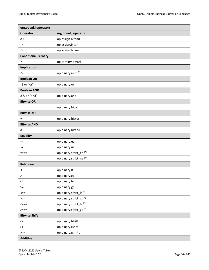| org.openl.j operators      |                                    |
|----------------------------|------------------------------------|
| Operator                   | org.openl.j operator               |
| &=                         | op.assign.bitand                   |
| $=$                        | op.assign.bitor                    |
| $\lambda_{\pm}$            | op.assign.bitxor                   |
| <b>Conditional Ternary</b> |                                    |
| ?:                         | op.ternary.qmark                   |
| Implication                |                                    |
| ->                         | op.binary.impl <sup>(*)</sup>      |
| <b>Boolean OR</b>          |                                    |
| or "or"                    | op.binary.or                       |
| <b>Boolean AND</b>         |                                    |
| && or "and"                | op.binary.and                      |
| <b>Bitwise OR</b>          |                                    |
|                            | op.binary.bitor                    |
| <b>Bitwise XOR</b>         |                                    |
| ۸                          | op.binary.bitxor                   |
| <b>Bitwise AND</b>         |                                    |
| &                          | op.binary.bitand                   |
| <b>Equality</b>            |                                    |
| $==$                       | op.binary.eq                       |
| $!=$                       | op.binary.ne                       |
| ニニニニ                       | op.binary.strict_eq <sup>(*)</sup> |
| !===                       | op.binary.strict_ne <sup>(*)</sup> |
| Relational                 |                                    |
| $\,<\,$                    | op.binary.lt                       |
| >                          | op.binary.gt                       |
| $\leq$                     | op.binary.le                       |
| $>=$                       | op.binary.ge                       |
| $\leq$ ==                  | op.binary.strict_lt <sup>(*)</sup> |
| $>==$                      | op.binary.strict_gt <sup>(*)</sup> |
| <===                       | op.binary.strict_le <sup>(*)</sup> |
| $>===$                     | op.binary.strict_ge <sup>(*)</sup> |
| <b>Bitwise Shift</b>       |                                    |
| $<<\,$                     | op.binary.lshift                   |
| $>>$                       | op.binary.rshift                   |
| $>>>$                      | op.binary.rshiftu                  |
| <b>Additive</b>            |                                    |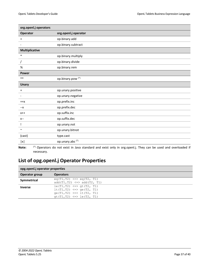| org.openl.j operators |                              |  |
|-----------------------|------------------------------|--|
| Operator              | org.openl.j operator         |  |
| $\ddot{}$             | op.binary.add                |  |
|                       | op.binary.subtract           |  |
| <b>Multiplicative</b> |                              |  |
| $\ast$                | op.binary.multiply           |  |
|                       | op.binary.divide             |  |
| $\%$                  | op.binary.rem                |  |
| <b>Power</b>          |                              |  |
| $***$                 | op.binary.pow <sup>(*)</sup> |  |
| <b>Unary</b>          |                              |  |
| $\ddot{}$             | op.unary.positive            |  |
|                       | op.unary.negative            |  |
| $++x$                 | op.prefix.inc                |  |
| --X                   | op.prefix.dec                |  |
| $X++$                 | op.suffix.inc                |  |
| $X--$                 | op.suffix.dec                |  |
| Ţ                     | op.unary.not                 |  |
| $\sim$                | op.unary.bitnot              |  |
| (cast)                | type.cast                    |  |
| x                     | op.unary.abs <sup>(*)</sup>  |  |

**Note:** (\*) Operators do not exist in Java standard and exist only in org.openl.j. They can be used and overloaded if necessary.

### <span id="page-36-0"></span>**List of opg.openl.j Operator Properties**

| opg.openl.j operator properties |                                                                                                                                      |  |
|---------------------------------|--------------------------------------------------------------------------------------------------------------------------------------|--|
| <b>Operator group</b>           | <b>Operators</b>                                                                                                                     |  |
| Symmetrical                     | $eq(T1, T2) \leq > eq(T2, T1)$<br>$add(T1, T2) \leq > add(T2, T1)$                                                                   |  |
| <b>Inverse</b>                  | $le(T1, T2) \le >> qt(T2, T1)$<br>$lt(T1, T2) \leq > qe(T2, T1)$<br>qe(T1,T2) $\le$ $\ge$ 1t(T2, T1)<br>$gt(T1, T2) \iff le(T2, T1)$ |  |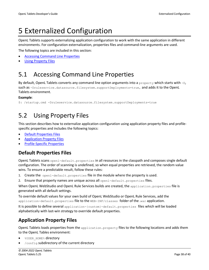## <span id="page-37-0"></span>5 Externalized Configuration

OpenL Tablets supports externalizing application configuration to work with the same application in different environments. For configuration externalization, properties files and command-line arguments are used. The following topics are included in this section:

• [Accessing Command Line Properties](#page-37-1)

<span id="page-37-1"></span>• [Using Property Files](#page-37-2)

## 5.1 Accessing Command Line Properties

By default, OpenL Tablets converts any command line option arguments into a property which starts with  $-D$ , such as -Druleservice.datasource.filesystem.supportDeployments=true, and adds it to the OpenL Tablets environment.

#### **Example**:

```
$: /startup.cmd -Druleservice.datasource.filesystem.supportDeployments=true
```
## 5.2 Using Property Files

This section describes how to externalize application configuration using application property files and profilespecific properties and includes the following topics:

- [Default Properties Files](#page-37-3)
- [Application Property Files](#page-37-4)
- [Profile-Specific Properties](#page-38-0)

### <span id="page-37-3"></span>**Default Properties Files**

OpenL Tablets scans openl-default.properties in all resources in the classpath and composes single default configuration. The order of scanning is undefined, so when equal properties are retrieved, the random value wins. To ensure a predictable result, follow these rules:

- 1. Create the  $open-default.proporties$  file in the module where the property is used.
- 2. Ensure that property names are unique across all openl-default.properties files.

When OpenL WebStudio and OpenL Rule Services builds are created, the application. properties file is generated with all default settings.

To override default values for your own build of OpenL WebStudio or OpenL Rule Services, add the application-default.properties file to the WEB-INF/classes folder of the .war application.

It is possible to define several application-{custom}-default.properties files which will be loaded alphabetically with last-win strategy to override default properties.

### <span id="page-37-4"></span>**Application Property Files**

OpenL Tablets loads properties from the application.property files to the following locations and adds them to the OpenL Tables environment:

- %USER\_HOME% directory
- /config subdirectory of the current directory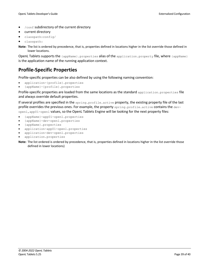- /conf subdirectory of the current directory
- current directory
- classpath:config/
- classpath:

**Note:** The list is ordered by precedence, that is, properties defined in locations higher in the list override those defined in lower locations.

OpenL Tablets supports the {appName}.properties alias of the application.property file, where {appName} is the application name of the running application context.

### <span id="page-38-0"></span>**Profile-Specific Properties**

Profile-specific properties can be also defined by using the following naming convention:

- application-{profile}.properties
- {appName}-{profile}.properties

Profile-specific properties are loaded from the same locations as the standard application.properties file and always override default properties.

If several profiles are specified in the spring.profile.active property, the existing property file of the last profile overrides the previous ones. For example, the property spring.profile.active contains the devopenl,app01-openl values, so the OpenL Tablets Engine will be looking for the next property files:

- {appName}-app01-openl.properties
- {appName}-dev-openl.properties
- {appName}.properties
- application-app01-openl.properties
- application-dev-openl.properties
- application.properties

**Note:** The list ordered is ordered by precedence, that is, properties defined in locations higher in the list override those defined in lower locations)